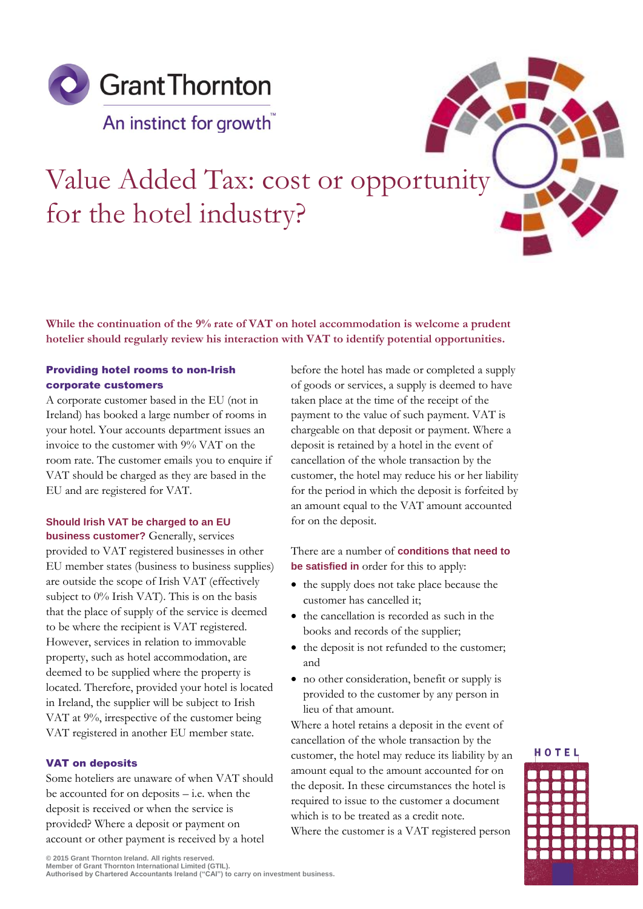

# Value Added Tax: cost or opportunity for the hotel industry?

**While the continuation of the 9% rate of VAT on hotel accommodation is welcome a prudent hotelier should regularly review his interaction with VAT to identify potential opportunities.** 

# Providing hotel rooms to non-Irish corporate customers

A corporate customer based in the EU (not in Ireland) has booked a large number of rooms in your hotel. Your accounts department issues an invoice to the customer with 9% VAT on the room rate. The customer emails you to enquire if VAT should be charged as they are based in the EU and are registered for VAT.

# **Should Irish VAT be charged to an EU business customer?** Generally, services

provided to VAT registered businesses in other EU member states (business to business supplies) are outside the scope of Irish VAT (effectively subject to 0% Irish VAT). This is on the basis that the place of supply of the service is deemed to be where the recipient is VAT registered. However, services in relation to immovable property, such as hotel accommodation, are deemed to be supplied where the property is located. Therefore, provided your hotel is located in Ireland, the supplier will be subject to Irish VAT at 9%, irrespective of the customer being VAT registered in another EU member state.

# VAT on deposits

Some hoteliers are unaware of when VAT should be accounted for on deposits – i.e. when the deposit is received or when the service is provided? Where a deposit or payment on account or other payment is received by a hotel

before the hotel has made or completed a supply of goods or services, a supply is deemed to have taken place at the time of the receipt of the payment to the value of such payment. VAT is chargeable on that deposit or payment. Where a deposit is retained by a hotel in the event of cancellation of the whole transaction by the customer, the hotel may reduce his or her liability for the period in which the deposit is forfeited by an amount equal to the VAT amount accounted for on the deposit.

# There are a number of **conditions that need to be satisfied in** order for this to apply:

- the supply does not take place because the customer has cancelled it;
- the cancellation is recorded as such in the books and records of the supplier;
- the deposit is not refunded to the customer; and
- no other consideration, benefit or supply is provided to the customer by any person in lieu of that amount.

Where a hotel retains a deposit in the event of cancellation of the whole transaction by the customer, the hotel may reduce its liability by an amount equal to the amount accounted for on the deposit. In these circumstances the hotel is required to issue to the customer a document which is to be treated as a credit note. Where the customer is a VAT registered person



**© 2015 Grant Thornton Ireland. All rights reserved. Member of Grant Thornton International Limited (GTIL). Authorised by Chartered Accountants Ireland ("CAI") to carry on investment business.**